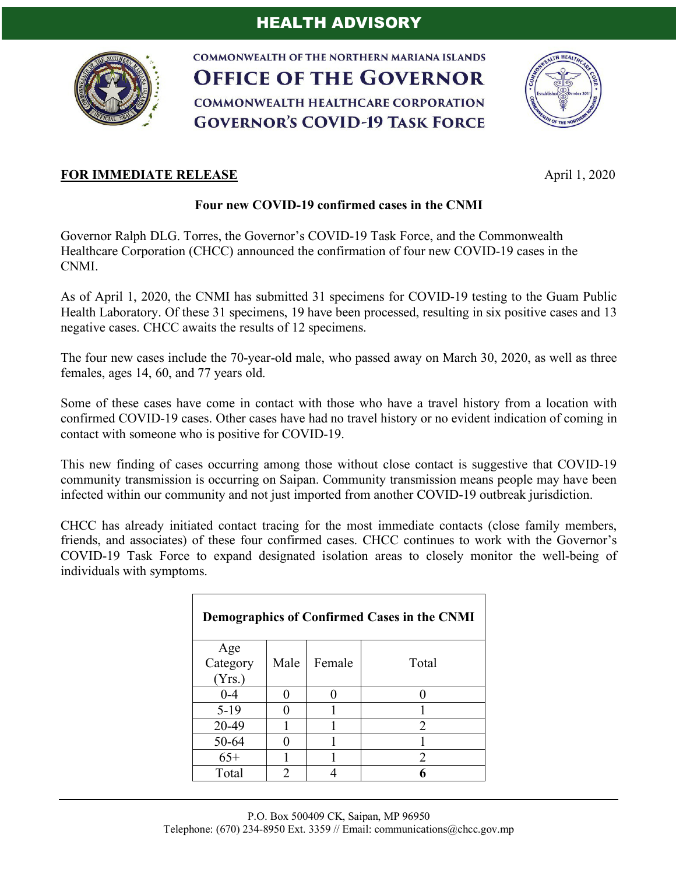

**COMMONWEALTH OF THE NORTHERN MARIANA ISLANDS OFFICE OF THE GOVERNOR COMMONWEALTH HEALTHCARE CORPORATION GOVERNOR'S COVID-19 TASK FORCE** 



## **FOR IMMEDIATE RELEASE** April 1, 2020

## **Four new COVID-19 confirmed cases in the CNMI**

Governor Ralph DLG. Torres, the Governor's COVID-19 Task Force, and the Commonwealth Healthcare Corporation (CHCC) announced the confirmation of four new COVID-19 cases in the CNMI.

As of April 1, 2020, the CNMI has submitted 31 specimens for COVID-19 testing to the Guam Public Health Laboratory. Of these 31 specimens, 19 have been processed, resulting in six positive cases and 13 negative cases. CHCC awaits the results of 12 specimens.

The four new cases include the 70-year-old male, who passed away on March 30, 2020, as well as three females, ages 14, 60, and 77 years old.

Some of these cases have come in contact with those who have a travel history from a location with confirmed COVID-19 cases. Other cases have had no travel history or no evident indication of coming in contact with someone who is positive for COVID-19.

This new finding of cases occurring among those without close contact is suggestive that COVID-19 community transmission is occurring on Saipan. Community transmission means people may have been infected within our community and not just imported from another COVID-19 outbreak jurisdiction.

CHCC has already initiated contact tracing for the most immediate contacts (close family members, friends, and associates) of these four confirmed cases. CHCC continues to work with the Governor's COVID-19 Task Force to expand designated isolation areas to closely monitor the well-being of individuals with symptoms.

| Demographics of Confirmed Cases in the CNMI |      |        |                |
|---------------------------------------------|------|--------|----------------|
| Age<br>Category<br>(Yrs.)                   | Male | Female | Total          |
| $0 - 4$                                     |      |        |                |
| $5-19$                                      |      |        |                |
| 20-49                                       |      |        | $\overline{2}$ |
| 50-64                                       |      |        |                |
| $65+$                                       |      |        | 2              |
| Total                                       | າ    |        |                |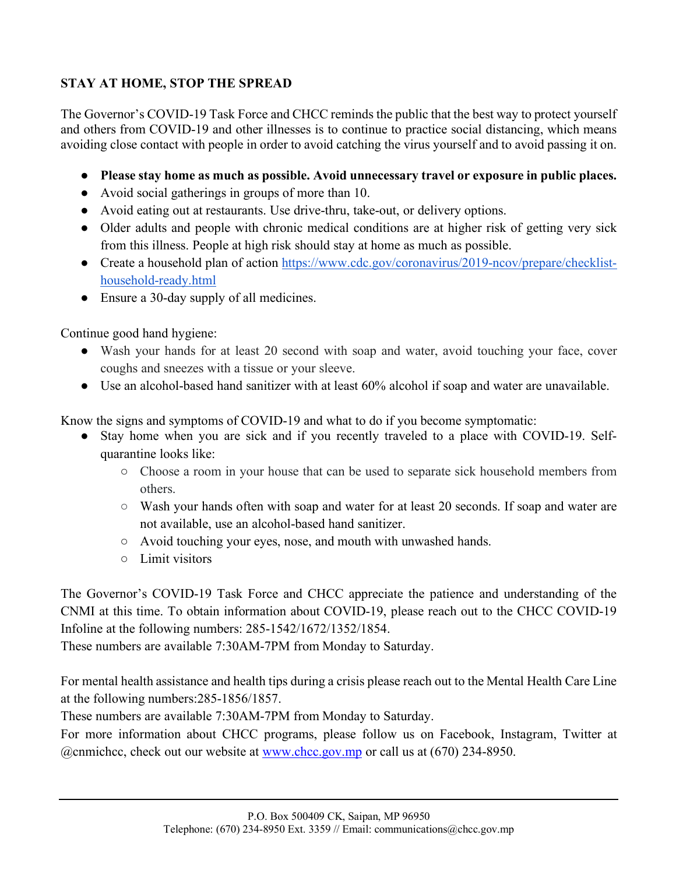## **STAY AT HOME, STOP THE SPREAD**

The Governor's COVID-19 Task Force and CHCC reminds the public that the best way to protect yourself and others from COVID-19 and other illnesses is to continue to practice social distancing, which means avoiding close contact with people in order to avoid catching the virus yourself and to avoid passing it on.

- **Please stay home as much as possible. Avoid unnecessary travel or exposure in public places.**
- Avoid social gatherings in groups of more than 10.
- Avoid eating out at restaurants. Use drive-thru, take-out, or delivery options.
- Older adults and people with chronic medical conditions are at higher risk of getting very sick from this illness. People at high risk should stay at home as much as possible.
- Create a household plan of action https://www.cdc.gov/coronavirus/2019-ncov/prepare/checklisthousehold-ready.html
- Ensure a 30-day supply of all medicines.

Continue good hand hygiene:

- Wash your hands for at least 20 second with soap and water, avoid touching your face, cover coughs and sneezes with a tissue or your sleeve.
- Use an alcohol-based hand sanitizer with at least 60% alcohol if soap and water are unavailable.

Know the signs and symptoms of COVID-19 and what to do if you become symptomatic:

- Stay home when you are sick and if you recently traveled to a place with COVID-19. Selfquarantine looks like:
	- Choose a room in your house that can be used to separate sick household members from others.
	- Wash your hands often with soap and water for at least 20 seconds. If soap and water are not available, use an alcohol-based hand sanitizer.
	- Avoid touching your eyes, nose, and mouth with unwashed hands.
	- Limit visitors

The Governor's COVID-19 Task Force and CHCC appreciate the patience and understanding of the CNMI at this time. To obtain information about COVID-19, please reach out to the CHCC COVID-19 Infoline at the following numbers: 285-1542/1672/1352/1854.

These numbers are available 7:30AM-7PM from Monday to Saturday.

For mental health assistance and health tips during a crisis please reach out to the Mental Health Care Line at the following numbers:285-1856/1857.

These numbers are available 7:30AM-7PM from Monday to Saturday.

For more information about CHCC programs, please follow us on Facebook, Instagram, Twitter at @cnmichcc, check out our website at www.chcc.gov.mp or call us at (670) 234-8950.